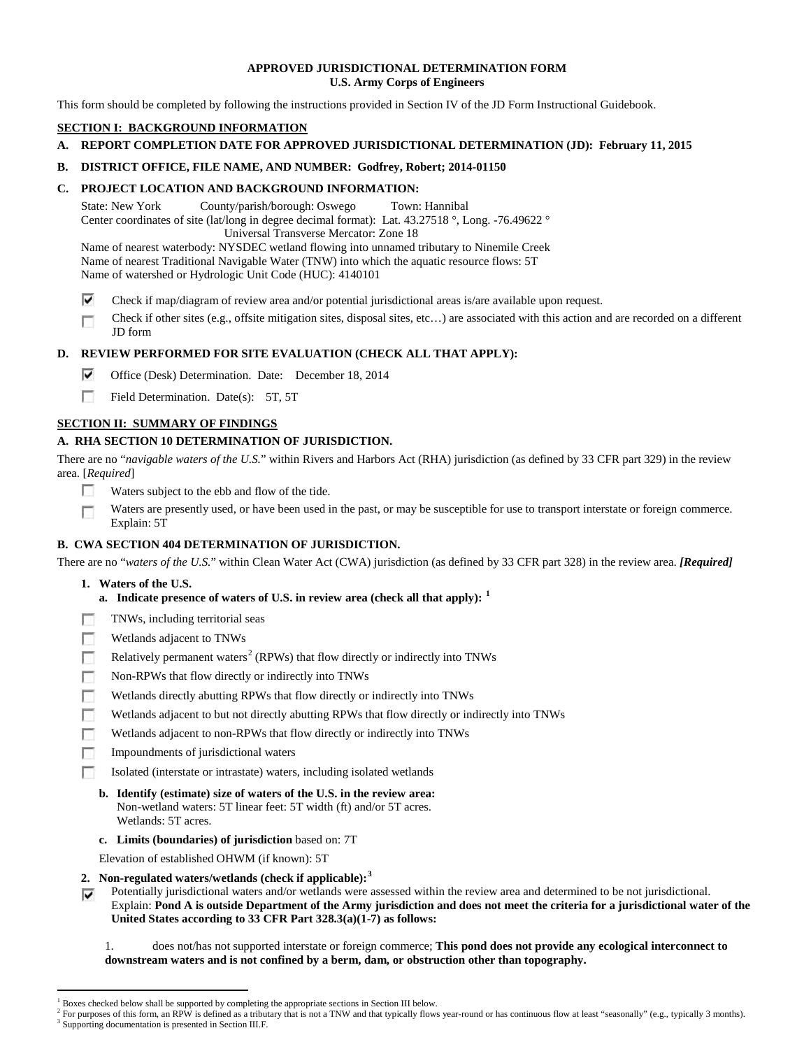### **APPROVED JURISDICTIONAL DETERMINATION FORM U.S. Army Corps of Engineers**

This form should be completed by following the instructions provided in Section IV of the JD Form Instructional Guidebook.

# **SECTION I: BACKGROUND INFORMATION**

### **A. REPORT COMPLETION DATE FOR APPROVED JURISDICTIONAL DETERMINATION (JD): February 11, 2015**

#### **B. DISTRICT OFFICE, FILE NAME, AND NUMBER: Godfrey, Robert; 2014-01150**

### **C. PROJECT LOCATION AND BACKGROUND INFORMATION:**

State: New York County/parish/borough: Oswego Town: Hannibal Center coordinates of site (lat/long in degree decimal format): Lat. 43.27518 °, Long. -76.49622 ° Universal Transverse Mercator: Zone 18

Name of nearest waterbody: NYSDEC wetland flowing into unnamed tributary to Ninemile Creek Name of nearest Traditional Navigable Water (TNW) into which the aquatic resource flows: 5T Name of watershed or Hydrologic Unit Code (HUC): 4140101

⊽ Check if map/diagram of review area and/or potential jurisdictional areas is/are available upon request.

Check if other sites (e.g., offsite mitigation sites, disposal sites, etc…) are associated with this action and are recorded on a different г JD form

### **D. REVIEW PERFORMED FOR SITE EVALUATION (CHECK ALL THAT APPLY):**

- ⊽ Office (Desk) Determination. Date: December 18, 2014
- $\Box$ Field Determination. Date(s): 5T, 5T

# **SECTION II: SUMMARY OF FINDINGS**

# **A. RHA SECTION 10 DETERMINATION OF JURISDICTION.**

There are no "*navigable waters of the U.S.*" within Rivers and Harbors Act (RHA) jurisdiction (as defined by 33 CFR part 329) in the review area. [*Required*]

- п Waters subject to the ebb and flow of the tide.
- Waters are presently used, or have been used in the past, or may be susceptible for use to transport interstate or foreign commerce. 下 Explain: 5T

# **B. CWA SECTION 404 DETERMINATION OF JURISDICTION.**

There are no "*waters of the U.S.*" within Clean Water Act (CWA) jurisdiction (as defined by 33 CFR part 328) in the review area. *[Required]*

- **1. Waters of the U.S.**
	- **a. Indicate presence of waters of U.S. in review area (check all that apply): [1](#page-0-0)**
- 同 TNWs, including territorial seas
- Wetlands adjacent to TNWs n
- Relatively permanent waters<sup>[2](#page-0-1)</sup> (RPWs) that flow directly or indirectly into TNWs г
- **In** Non-RPWs that flow directly or indirectly into TNWs
- п Wetlands directly abutting RPWs that flow directly or indirectly into TNWs
- Wetlands adjacent to but not directly abutting RPWs that flow directly or indirectly into TNWs г
- п Wetlands adjacent to non-RPWs that flow directly or indirectly into TNWs
- п Impoundments of jurisdictional waters
- Isolated (interstate or intrastate) waters, including isolated wetlands п
	- **b. Identify (estimate) size of waters of the U.S. in the review area:** Non-wetland waters: 5T linear feet: 5T width (ft) and/or 5T acres. Wetlands: 5T acres.
	- **c. Limits (boundaries) of jurisdiction** based on: 7T

Elevation of established OHWM (if known): 5T

- **2. Non-regulated waters/wetlands (check if applicable): [3](#page-0-2)**
- Potentially jurisdictional waters and/or wetlands were assessed within the review area and determined to be not jurisdictional. ⊽ Explain: **Pond A is outside Department of the Army jurisdiction and does not meet the criteria for a jurisdictional water of the United States according to 33 CFR Part 328.3(a)(1-7) as follows:**
	- 1. does not/has not supported interstate or foreign commerce; **This pond does not provide any ecological interconnect to downstream waters and is not confined by a berm, dam, or obstruction other than topography.**

Boxes checked below shall be supported by completing the appropriate sections in Section III below.

<span id="page-0-2"></span><span id="page-0-1"></span><span id="page-0-0"></span> $^2$  For purposes of this form, an RPW is defined as a tributary that is not a TNW and that typically flows year-round or has continuous flow at least "seasonally" (e.g., typically 3 months).<br><sup>3</sup> Supporting documentation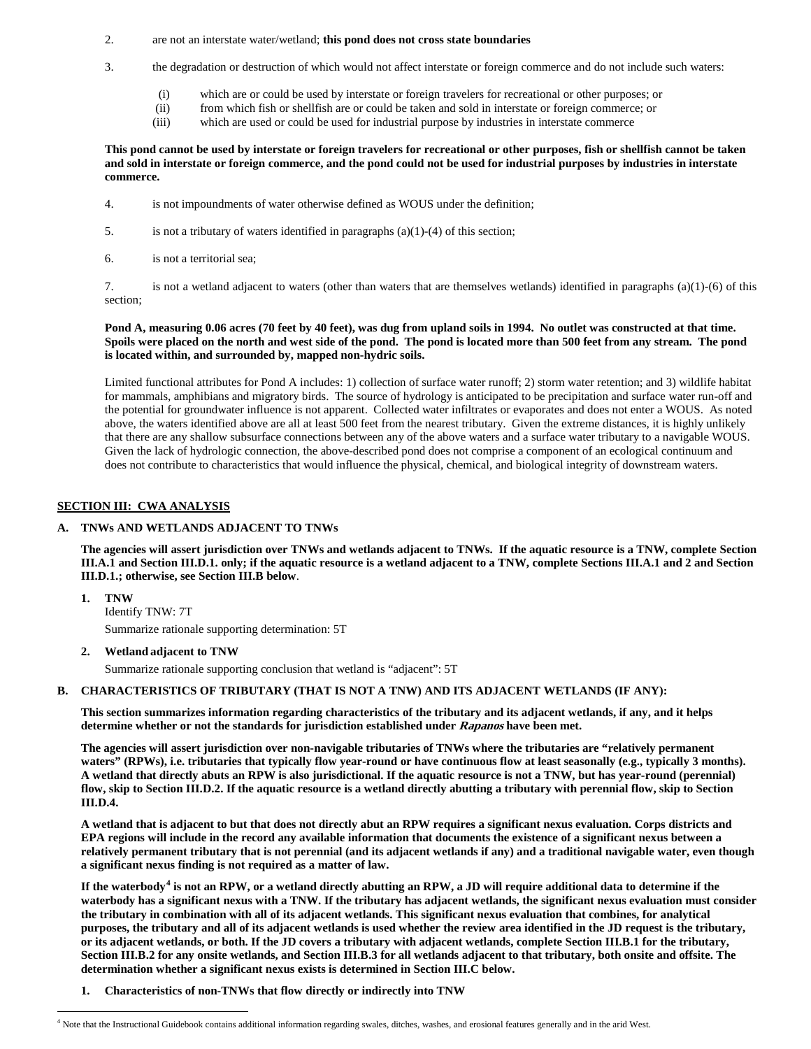#### 2. are not an interstate water/wetland; **this pond does not cross state boundaries**

- 3. the degradation or destruction of which would not affect interstate or foreign commerce and do not include such waters:
	- (i) which are or could be used by interstate or foreign travelers for recreational or other purposes; or
	- (ii) from which fish or shellfish are or could be taken and sold in interstate or foreign commerce; or
	- (iii) which are used or could be used for industrial purpose by industries in interstate commerce

#### **This pond cannot be used by interstate or foreign travelers for recreational or other purposes, fish or shellfish cannot be taken and sold in interstate or foreign commerce, and the pond could not be used for industrial purposes by industries in interstate commerce.**

- 4. is not impoundments of water otherwise defined as WOUS under the definition;
- 5. is not a tributary of waters identified in paragraphs  $(a)(1)-(4)$  of this section;
- 6. is not a territorial sea;

7. is not a wetland adjacent to waters (other than waters that are themselves wetlands) identified in paragraphs (a)(1)-(6) of this section;

### **Pond A, measuring 0.06 acres (70 feet by 40 feet), was dug from upland soils in 1994. No outlet was constructed at that time. Spoils were placed on the north and west side of the pond. The pond is located more than 500 feet from any stream. The pond is located within, and surrounded by, mapped non-hydric soils.**

Limited functional attributes for Pond A includes: 1) collection of surface water runoff; 2) storm water retention; and 3) wildlife habitat for mammals, amphibians and migratory birds. The source of hydrology is anticipated to be precipitation and surface water run-off and the potential for groundwater influence is not apparent. Collected water infiltrates or evaporates and does not enter a WOUS. As noted above, the waters identified above are all at least 500 feet from the nearest tributary. Given the extreme distances, it is highly unlikely that there are any shallow subsurface connections between any of the above waters and a surface water tributary to a navigable WOUS. Given the lack of hydrologic connection, the above-described pond does not comprise a component of an ecological continuum and does not contribute to characteristics that would influence the physical, chemical, and biological integrity of downstream waters.

# **SECTION III: CWA ANALYSIS**

# **A. TNWs AND WETLANDS ADJACENT TO TNWs**

**The agencies will assert jurisdiction over TNWs and wetlands adjacent to TNWs. If the aquatic resource is a TNW, complete Section III.A.1 and Section III.D.1. only; if the aquatic resource is a wetland adjacent to a TNW, complete Sections III.A.1 and 2 and Section III.D.1.; otherwise, see Section III.B below**.

**1. TNW** 

Identify TNW: 7T Summarize rationale supporting determination: 5T

# **2. Wetland adjacent to TNW**

Summarize rationale supporting conclusion that wetland is "adjacent": 5T

# **B. CHARACTERISTICS OF TRIBUTARY (THAT IS NOT A TNW) AND ITS ADJACENT WETLANDS (IF ANY):**

**This section summarizes information regarding characteristics of the tributary and its adjacent wetlands, if any, and it helps determine whether or not the standards for jurisdiction established under Rapanos have been met.** 

**The agencies will assert jurisdiction over non-navigable tributaries of TNWs where the tributaries are "relatively permanent waters" (RPWs), i.e. tributaries that typically flow year-round or have continuous flow at least seasonally (e.g., typically 3 months). A wetland that directly abuts an RPW is also jurisdictional. If the aquatic resource is not a TNW, but has year-round (perennial) flow, skip to Section III.D.2. If the aquatic resource is a wetland directly abutting a tributary with perennial flow, skip to Section III.D.4.**

**A wetland that is adjacent to but that does not directly abut an RPW requires a significant nexus evaluation. Corps districts and EPA regions will include in the record any available information that documents the existence of a significant nexus between a relatively permanent tributary that is not perennial (and its adjacent wetlands if any) and a traditional navigable water, even though a significant nexus finding is not required as a matter of law.**

**If the waterbody[4](#page-1-0) is not an RPW, or a wetland directly abutting an RPW, a JD will require additional data to determine if the waterbody has a significant nexus with a TNW. If the tributary has adjacent wetlands, the significant nexus evaluation must consider the tributary in combination with all of its adjacent wetlands. This significant nexus evaluation that combines, for analytical purposes, the tributary and all of its adjacent wetlands is used whether the review area identified in the JD request is the tributary, or its adjacent wetlands, or both. If the JD covers a tributary with adjacent wetlands, complete Section III.B.1 for the tributary, Section III.B.2 for any onsite wetlands, and Section III.B.3 for all wetlands adjacent to that tributary, both onsite and offsite. The determination whether a significant nexus exists is determined in Section III.C below.**

**1. Characteristics of non-TNWs that flow directly or indirectly into TNW**

<span id="page-1-0"></span> <sup>4</sup> Note that the Instructional Guidebook contains additional information regarding swales, ditches, washes, and erosional features generally and in the arid West.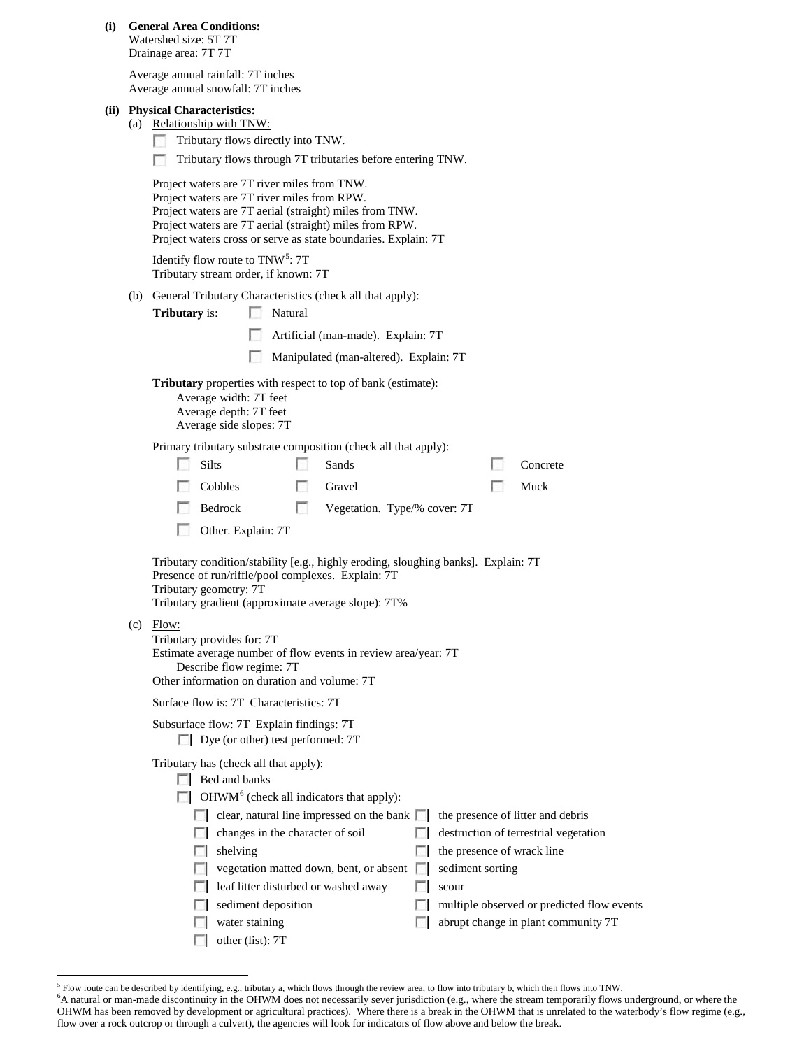| (i) General Area Conditions: |  |
|------------------------------|--|
|------------------------------|--|

Watershed size: 5T 7T Drainage area: 7T 7T

Average annual rainfall: 7T inches Average annual snowfall: 7T inches

#### **(ii) Physical Characteristics:**

(a) Relationship with TNW:

Tributary flows directly into TNW.

| Tributary flows through 7T tributaries before entering TNW. |  |  |  |
|-------------------------------------------------------------|--|--|--|
|                                                             |  |  |  |

Project waters are 7T river miles from TNW. Project waters are 7T river miles from RPW. Project waters are 7T aerial (straight) miles from TNW. Project waters are 7T aerial (straight) miles from RPW. Project waters cross or serve as state boundaries. Explain: 7T

Identify flow route to TNW<sup>[5](#page-2-0)</sup>: 7T Tributary stream order, if known: 7T

(b) General Tributary Characteristics (check all that apply):

| <b>Tributary</b> is: | Natural                                |
|----------------------|----------------------------------------|
|                      | Artificial (man-made). Explain: 7T     |
|                      | Manipulated (man-altered). Explain: 7T |

**Tributary** properties with respect to top of bank (estimate):

Average width: 7T feet Average depth: 7T feet Average side slopes: 7T

|                                                                | Average side slopes: 7T |  |                              |  |          |  |  |
|----------------------------------------------------------------|-------------------------|--|------------------------------|--|----------|--|--|
| timary tributary substrate composition (check all that apply): |                         |  |                              |  |          |  |  |
|                                                                | <b>Silts</b>            |  | Sands                        |  | Concrete |  |  |
|                                                                | Cobbles                 |  | Gravel                       |  | Muck     |  |  |
|                                                                | <b>Bedrock</b>          |  | Vegetation. Type/% cover: 7T |  |          |  |  |
|                                                                | Other. Explain: 7T      |  |                              |  |          |  |  |

Tributary condition/stability [e.g., highly eroding, sloughing banks]. Explain: 7T Presence of run/riffle/pool complexes. Explain: 7T Tributary geometry: 7T Tributary gradient (approximate average slope): 7T%

# $(c)$  Flow:

Tributary provides for: 7T Estimate average number of flow events in review area/year: 7T Describe flow regime: 7T Other information on duration and volume: 7T

|  |  | Surface flow is: 7T Characteristics: 7T |  |
|--|--|-----------------------------------------|--|
|  |  |                                         |  |

Subsurface flow: 7T Explain findings: 7T Dye (or other) test performed: 7T

Tributary has (check all that apply):

 $\Box$  other (list): 7T

#### Bed and banks Г

| $OHWM6$ (check all indicators that apply):                                      |            |                                              |
|---------------------------------------------------------------------------------|------------|----------------------------------------------|
| clear, natural line impressed on the bank     the presence of litter and debris |            |                                              |
| changes in the character of soil                                                |            | $\Box$ destruction of terrestrial vegetation |
| shelving                                                                        |            | $\Box$ the presence of wrack line            |
| vegetation matted down, bent, or absent                                         | $\sim$     | sediment sorting                             |
| leaf litter disturbed or washed away                                            |            | scour                                        |
| sediment deposition                                                             | <b>FOR</b> | multiple observed or predicted flow events   |
| water staining                                                                  |            | $\Box$ abrupt change in plant community $7T$ |
|                                                                                 |            |                                              |

<span id="page-2-0"></span><sup>&</sup>lt;sup>5</sup> Flow route can be described by identifying, e.g., tributary a, which flows through the review area, to flow into tributary b, which then flows into TNW.

<span id="page-2-1"></span><sup>&</sup>lt;sup>6</sup>A natural or man-made discontinuity in the OHWM does not necessarily sever jurisdiction (e.g., where the stream temporarily flows underground, or where the OHWM has been removed by development or agricultural practices). Where there is a break in the OHWM that is unrelated to the waterbody's flow regime (e.g., flow over a rock outcrop or through a culvert), the agencies will look for indicators of flow above and below the break.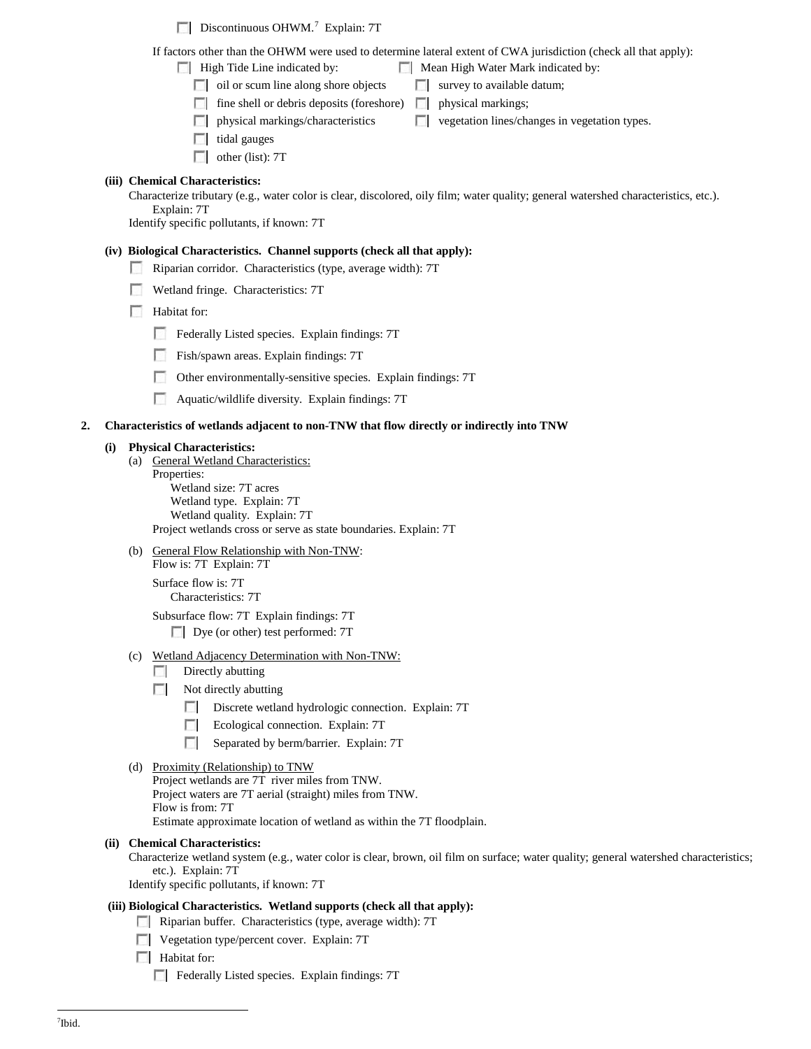Discontinuous OHWM.<sup>[7](#page-3-0)</sup> Explain: 7T

If factors other than the OHWM were used to determine lateral extent of CWA jurisdiction (check all that apply):

- High Tide Line indicated by: Mean High Water Mark indicated by:
	- $\Box$  oil or scum line along shore objects  $\Box$  survey to available datum;
	- $\Box$  fine shell or debris deposits (foreshore)  $\Box$  physical markings;
	- $\Box$  physical markings/characteristics  $\Box$  vegetation lines/changes in vegetation types.
	- $\Box$  tidal gauges
	- $\Box$  other (list): 7T

# **(iii) Chemical Characteristics:**

Characterize tributary (e.g., water color is clear, discolored, oily film; water quality; general watershed characteristics, etc.). Explain: 7T

Identify specific pollutants, if known: 7T

# **(iv) Biological Characteristics. Channel supports (check all that apply):**

- Riparian corridor. Characteristics (type, average width): 7T
- Wetland fringe. Characteristics: 7T
- Habitat for:
	- Federally Listed species. Explain findings: 7T
	- Fish/spawn areas. Explain findings: 7T
	- п. Other environmentally-sensitive species. Explain findings: 7T
	- Aquatic/wildlife diversity. Explain findings: 7T

# **2. Characteristics of wetlands adjacent to non-TNW that flow directly or indirectly into TNW**

# **(i) Physical Characteristics:**

- (a) General Wetland Characteristics: Properties: Wetland size: 7T acres Wetland type. Explain: 7T Wetland quality. Explain: 7T Project wetlands cross or serve as state boundaries. Explain: 7T
- (b) General Flow Relationship with Non-TNW: Flow is: 7T Explain: 7T

Surface flow is: 7T Characteristics: 7T

Subsurface flow: 7T Explain findings: 7T Dye (or other) test performed: 7T

- (c) Wetland Adjacency Determination with Non-TNW:
	- $\Box$  Directly abutting
	- $\Box$ Not directly abutting
		- Discrete wetland hydrologic connection. Explain: 7T
		- **Explain:** 7T Ecological connection. Explain: 7T
		- $\sim$ Separated by berm/barrier. Explain: 7T
- (d) Proximity (Relationship) to TNW Project wetlands are 7T river miles from TNW. Project waters are 7T aerial (straight) miles from TNW. Flow is from: 7T Estimate approximate location of wetland as within the 7T floodplain.

# **(ii) Chemical Characteristics:**

Characterize wetland system (e.g., water color is clear, brown, oil film on surface; water quality; general watershed characteristics; etc.). Explain: 7T

Identify specific pollutants, if known: 7T

# **(iii) Biological Characteristics. Wetland supports (check all that apply):**

- Riparian buffer. Characteristics (type, average width): 7T
- **Vegetation type/percent cover. Explain: 7T**
- <span id="page-3-0"></span> $\Box$  Habitat for:
	- Federally Listed species. Explain findings: 7T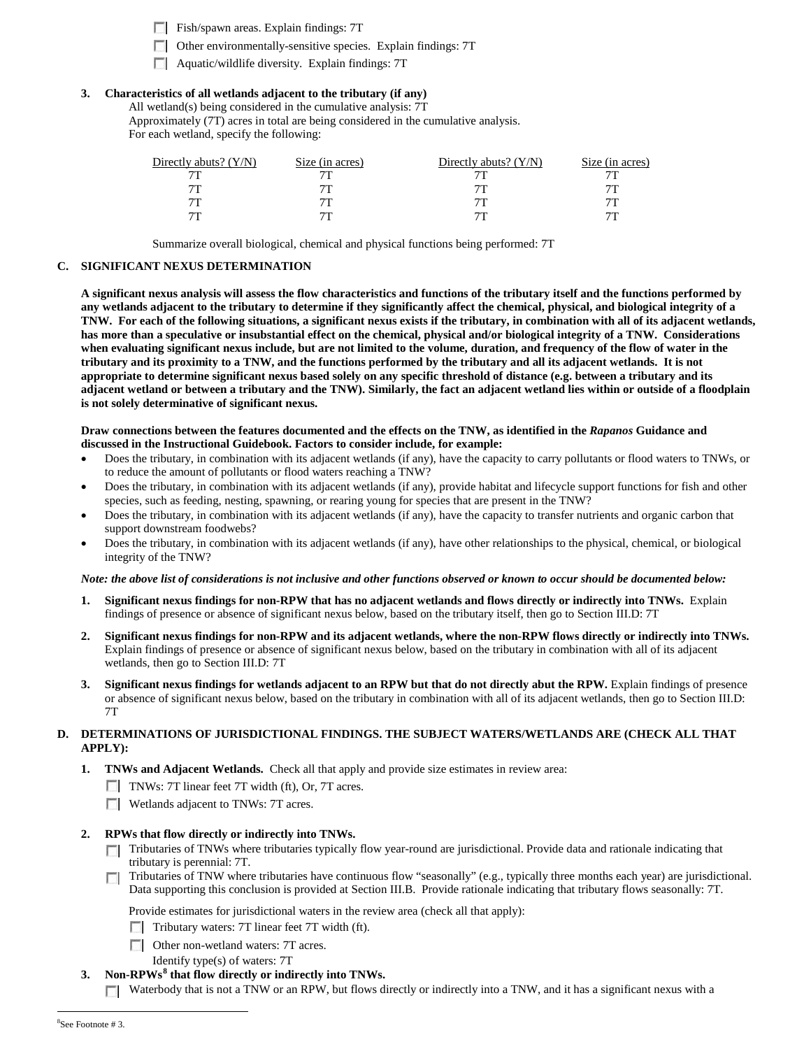Fish/spawn areas. Explain findings: 7T

- Other environmentally-sensitive species. Explain findings: 7T
- Aquatic/wildlife diversity. Explain findings: 7T

### **3. Characteristics of all wetlands adjacent to the tributary (if any)**

All wetland(s) being considered in the cumulative analysis: 7T Approximately (7T) acres in total are being considered in the cumulative analysis. For each wetland, specify the following:

| Directly abuts? $(Y/N)$ | Size (in acres) | Directly abuts? $(Y/N)$ | Size (in acres) |
|-------------------------|-----------------|-------------------------|-----------------|
|                         |                 |                         |                 |
| 7T                      |                 |                         |                 |
| 7Τ                      |                 |                         |                 |
| 7Τ                      |                 |                         |                 |

Summarize overall biological, chemical and physical functions being performed: 7T

### **C. SIGNIFICANT NEXUS DETERMINATION**

**A significant nexus analysis will assess the flow characteristics and functions of the tributary itself and the functions performed by any wetlands adjacent to the tributary to determine if they significantly affect the chemical, physical, and biological integrity of a TNW. For each of the following situations, a significant nexus exists if the tributary, in combination with all of its adjacent wetlands, has more than a speculative or insubstantial effect on the chemical, physical and/or biological integrity of a TNW. Considerations when evaluating significant nexus include, but are not limited to the volume, duration, and frequency of the flow of water in the tributary and its proximity to a TNW, and the functions performed by the tributary and all its adjacent wetlands. It is not appropriate to determine significant nexus based solely on any specific threshold of distance (e.g. between a tributary and its adjacent wetland or between a tributary and the TNW). Similarly, the fact an adjacent wetland lies within or outside of a floodplain is not solely determinative of significant nexus.** 

#### **Draw connections between the features documented and the effects on the TNW, as identified in the** *Rapanos* **Guidance and discussed in the Instructional Guidebook. Factors to consider include, for example:**

- Does the tributary, in combination with its adjacent wetlands (if any), have the capacity to carry pollutants or flood waters to TNWs, or to reduce the amount of pollutants or flood waters reaching a TNW?
- Does the tributary, in combination with its adjacent wetlands (if any), provide habitat and lifecycle support functions for fish and other species, such as feeding, nesting, spawning, or rearing young for species that are present in the TNW?
- Does the tributary, in combination with its adjacent wetlands (if any), have the capacity to transfer nutrients and organic carbon that support downstream foodwebs?
- Does the tributary, in combination with its adjacent wetlands (if any), have other relationships to the physical, chemical, or biological integrity of the TNW?

#### *Note: the above list of considerations is not inclusive and other functions observed or known to occur should be documented below:*

- **1. Significant nexus findings for non-RPW that has no adjacent wetlands and flows directly or indirectly into TNWs.** Explain findings of presence or absence of significant nexus below, based on the tributary itself, then go to Section III.D: 7T
- **2. Significant nexus findings for non-RPW and its adjacent wetlands, where the non-RPW flows directly or indirectly into TNWs.**  Explain findings of presence or absence of significant nexus below, based on the tributary in combination with all of its adjacent wetlands, then go to Section III.D: 7T
- **3. Significant nexus findings for wetlands adjacent to an RPW but that do not directly abut the RPW.** Explain findings of presence or absence of significant nexus below, based on the tributary in combination with all of its adjacent wetlands, then go to Section III.D: 7T

# **D. DETERMINATIONS OF JURISDICTIONAL FINDINGS. THE SUBJECT WATERS/WETLANDS ARE (CHECK ALL THAT APPLY):**

- **1. TNWs and Adjacent Wetlands.** Check all that apply and provide size estimates in review area:
	- TNWs: 7T linear feet 7T width (ft), Or, 7T acres.
	- **Wetlands adjacent to TNWs: 7T acres.**

# **2. RPWs that flow directly or indirectly into TNWs.**

- Tributaries of TNWs where tributaries typically flow year-round are jurisdictional. Provide data and rationale indicating that tributary is perennial: 7T.
- $\Box$ Tributaries of TNW where tributaries have continuous flow "seasonally" (e.g., typically three months each year) are jurisdictional. Data supporting this conclusion is provided at Section III.B. Provide rationale indicating that tributary flows seasonally: 7T.

Provide estimates for jurisdictional waters in the review area (check all that apply):

- $\Box$  Tributary waters: 7T linear feet 7T width (ft).
- **DETER** Other non-wetland waters: 7T acres.
	- Identify type(s) of waters: 7T

#### <span id="page-4-0"></span>**3. Non-RPWs[8](#page-4-0) that flow directly or indirectly into TNWs.**

Waterbody that is not a TNW or an RPW, but flows directly or indirectly into a TNW, and it has a significant nexus with a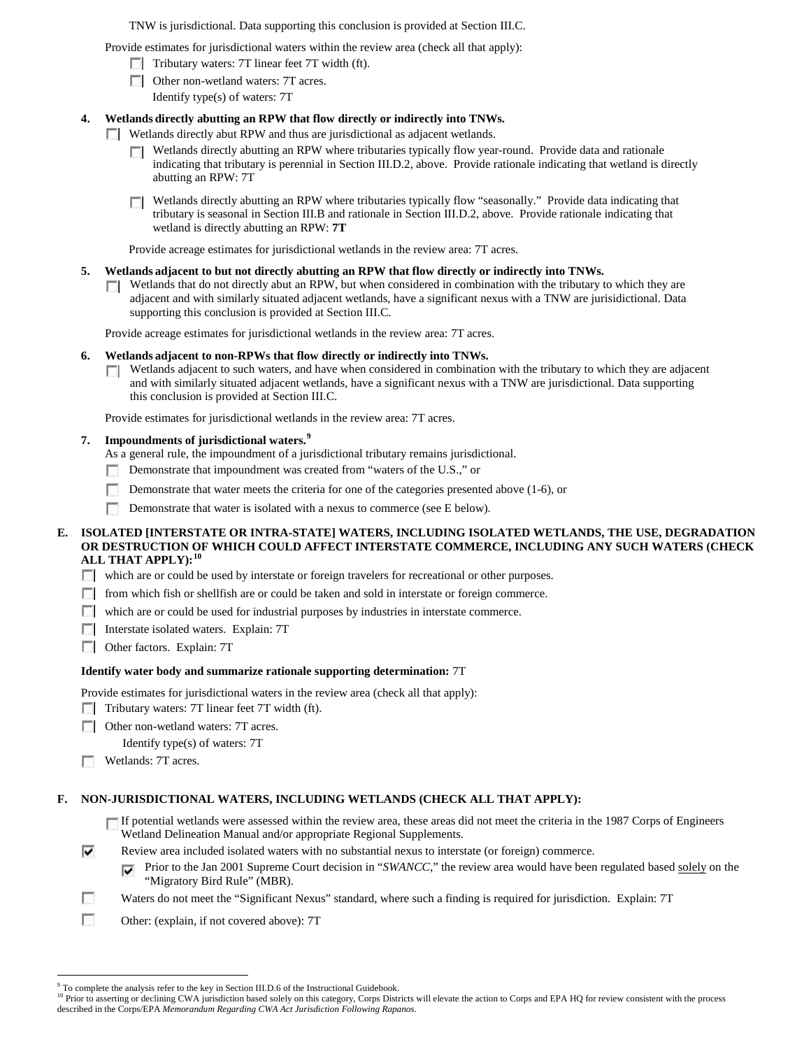TNW is jurisdictional. Data supporting this conclusion is provided at Section III.C.

Provide estimates for jurisdictional waters within the review area (check all that apply):

- $\Box$  Tributary waters: 7T linear feet 7T width (ft).
- Other non-wetland waters: 7T acres.
- Identify type(s) of waters: 7T

### **4. Wetlands directly abutting an RPW that flow directly or indirectly into TNWs.**

Wetlands directly abut RPW and thus are jurisdictional as adjacent wetlands.

Wetlands directly abutting an RPW where tributaries typically flow year-round. Provide data and rationale  $\sim$ indicating that tributary is perennial in Section III.D.2, above. Provide rationale indicating that wetland is directly abutting an RPW: 7T

Wetlands directly abutting an RPW where tributaries typically flow "seasonally." Provide data indicating that tributary is seasonal in Section III.B and rationale in Section III.D.2, above. Provide rationale indicating that wetland is directly abutting an RPW: **7T**

Provide acreage estimates for jurisdictional wetlands in the review area: 7T acres.

#### **5. Wetlands adjacent to but not directly abutting an RPW that flow directly or indirectly into TNWs.**

 $\Box$  Wetlands that do not directly abut an RPW, but when considered in combination with the tributary to which they are adjacent and with similarly situated adjacent wetlands, have a significant nexus with a TNW are jurisidictional. Data supporting this conclusion is provided at Section III.C.

Provide acreage estimates for jurisdictional wetlands in the review area: 7T acres.

#### **6. Wetlands adjacent to non-RPWs that flow directly or indirectly into TNWs.**

 $\Box$  Wetlands adjacent to such waters, and have when considered in combination with the tributary to which they are adjacent and with similarly situated adjacent wetlands, have a significant nexus with a TNW are jurisdictional. Data supporting this conclusion is provided at Section III.C.

Provide estimates for jurisdictional wetlands in the review area: 7T acres.

### **7. Impoundments of jurisdictional waters. [9](#page-5-0)**

- As a general rule, the impoundment of a jurisdictional tributary remains jurisdictional.
- Demonstrate that impoundment was created from "waters of the U.S.," or n.
- Demonstrate that water meets the criteria for one of the categories presented above (1-6), or
- п. Demonstrate that water is isolated with a nexus to commerce (see E below).

# **E. ISOLATED [INTERSTATE OR INTRA-STATE] WATERS, INCLUDING ISOLATED WETLANDS, THE USE, DEGRADATION OR DESTRUCTION OF WHICH COULD AFFECT INTERSTATE COMMERCE, INCLUDING ANY SUCH WATERS (CHECK ALL THAT APPLY):[10](#page-5-1)**

- which are or could be used by interstate or foreign travelers for recreational or other purposes.
- $\Box$  from which fish or shellfish are or could be taken and sold in interstate or foreign commerce.
- which are or could be used for industrial purposes by industries in interstate commerce.
- **Interstate isolated waters. Explain: 7T**
- Other factors.Explain: 7T

#### **Identify water body and summarize rationale supporting determination:** 7T

Provide estimates for jurisdictional waters in the review area (check all that apply):

- $\Box$  Tributary waters: 7T linear feet 7T width (ft).
- **Other non-wetland waters: 7T acres.**

Identify type(s) of waters: 7T

 $\sim$ Wetlands: 7T acres.

# **F. NON-JURISDICTIONAL WATERS, INCLUDING WETLANDS (CHECK ALL THAT APPLY):**

If potential wetlands were assessed within the review area, these areas did not meet the criteria in the 1987 Corps of Engineers Wetland Delineation Manual and/or appropriate Regional Supplements.

- ⊽ Review area included isolated waters with no substantial nexus to interstate (or foreign) commerce.
	- Prior to the Jan 2001 Supreme Court decision in "*SWANCC*," the review area would have been regulated based solely on the ⊽ "Migratory Bird Rule" (MBR).
- п Waters do not meet the "Significant Nexus" standard, where such a finding is required for jurisdiction. Explain: 7T
- П Other: (explain, if not covered above): 7T

To complete the analysis refer to the key in Section III.D.6 of the Instructional Guidebook.

<span id="page-5-1"></span><span id="page-5-0"></span><sup>&</sup>lt;sup>10</sup> Prior to asserting or declining CWA jurisdiction based solely on this category, Corps Districts will elevate the action to Corps and EPA HQ for review consistent with the process described in the Corps/EPA *Memorandum Regarding CWA Act Jurisdiction Following Rapanos.*